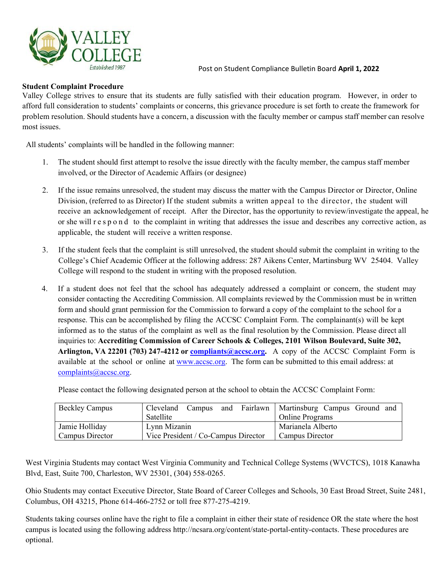

## **Student Complaint Procedure**

Valley College strives to ensure that its students are fully satisfied with their education program. However, in order to afford full consideration to students' complaints or concerns, this grievance procedure is set forth to create the framework for problem resolution. Should students have a concern, a discussion with the faculty member or campus staff member can resolve most issues.

All students' complaints will be handled in the following manner:

- 1. The student should first attempt to resolve the issue directly with the faculty member, the campus staff member involved, or the Director of Academic Affairs (or designee)
- 2. If the issue remains unresolved, the student may discuss the matter with the Campus Director or Director, Online Division, (referred to as Director) If the student submits a written appeal to the director, the student will receive an acknowledgement of receipt. After the Director, has the opportunity to review/investigate the appeal, he or she will respond to the complaint in writing that addresses the issue and describes any corrective action, as applicable, the student will receive a written response.
- 3. If the student feels that the complaint is still unresolved, the student should submit the complaint in writing to the College's Chief Academic Officer at the following address: 287 Aikens Center, Martinsburg WV 25404. Valley College will respond to the student in writing with the proposed resolution.
- 4. If a student does not feel that the school has adequately addressed a complaint or concern, the student may consider contacting the Accrediting Commission. All complaints reviewed by the Commission must be in written form and should grant permission for the Commission to forward a copy of the complaint to the school for a response. This can be accomplished by filing the ACCSC Complaint Form. The complainant(s) will be kept informed as to the status of the complaint as well as the final resolution by the Commission. Please direct all inquiries to: **Accrediting Commission of Career Schools & Colleges, 2101 Wilson Boulevard, Suite 302, Arlington, VA 22201 (703) 247-4212 or [compliants@accsc.org.](mailto:compliants@accsc.org)** A copy of the ACCSC Complaint Form is available at the school or online at [www.accsc.org.](http://www.accsc.org/) The form can be submitted to this email address: at [complaints@accsc.org.](mailto:complaints@accsc.org)

| Please contact the following designated person at the school to obtain the ACCSC Complaint Form: |  |  |
|--------------------------------------------------------------------------------------------------|--|--|
|                                                                                                  |  |  |
|                                                                                                  |  |  |
|                                                                                                  |  |  |

| <b>Beckley Campus</b> | Cleveland<br>and<br>Campus          | Fairlawn   Martinsburg Campus Ground and |  |
|-----------------------|-------------------------------------|------------------------------------------|--|
|                       | Satellite                           | <b>Online Programs</b>                   |  |
| Jamie Holliday        | Lynn Mizanin                        | Marianela Alberto                        |  |
| Campus Director       | Vice President / Co-Campus Director | Campus Director                          |  |

West Virginia Students may contact West Virginia Community and Technical College Systems (WVCTCS), 1018 Kanawha Blvd, East, Suite 700, Charleston, WV 25301, (304) 558-0265.

Ohio Students may contact Executive Director, State Board of Career Colleges and Schools, 30 East Broad Street, Suite 2481, Columbus, OH 43215, Phone 614-466-2752 or toll free 877-275-4219.

Students taking courses online have the right to file a complaint in either their state of residence OR the state where the host campus is located using the following address http://ncsara.org/content/state-portal-entity-contacts. These procedures are optional.